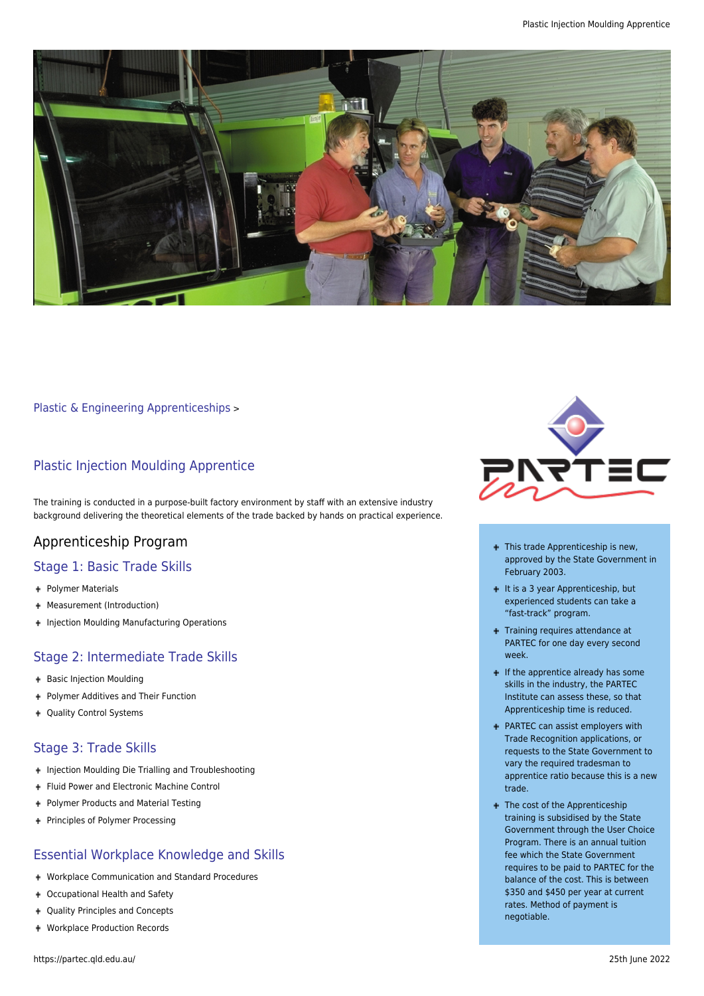

[Plastic & Engineering Apprenticeships](https://partec.qld.edu.au/plastic-engineering-apprenticeships/) >

## Plastic Injection Moulding Apprentice

The training is conducted in a purpose-built factory environment by staff with an extensive industry background delivering the theoretical elements of the trade backed by hands on practical experience.

# Apprenticeship Program

## Stage 1: Basic Trade Skills

- Polymer Materials
- Measurement (Introduction)
- **+ Injection Moulding Manufacturing Operations**

## Stage 2: Intermediate Trade Skills

- + Basic Injection Moulding
- Polymer Additives and Their Function
- + Quality Control Systems

#### Stage 3: Trade Skills

- + Injection Moulding Die Trialling and Troubleshooting
- + Fluid Power and Electronic Machine Control
- + Polymer Products and Material Testing
- + Principles of Polymer Processing

## Essential Workplace Knowledge and Skills

- Workplace Communication and Standard Procedures
- Occupational Health and Safety
- Quality Principles and Concepts
- Workplace Production Records



- + This trade Apprenticeship is new, approved by the State Government in February 2003.
- $+$  It is a 3 year Apprenticeship, but experienced students can take a "fast-track" program.
- + Training requires attendance at PARTEC for one day every second week.
- $\blacksquare$  If the apprentice already has some skills in the industry, the PARTEC Institute can assess these, so that Apprenticeship time is reduced.
- PARTEC can assist employers with Trade Recognition applications, or requests to the State Government to vary the required tradesman to apprentice ratio because this is a new trade.
- + The cost of the Apprenticeship training is subsidised by the State Government through the User Choice Program. There is an annual tuition fee which the State Government requires to be paid to PARTEC for the balance of the cost. This is between \$350 and \$450 per year at current rates. Method of payment is negotiable.